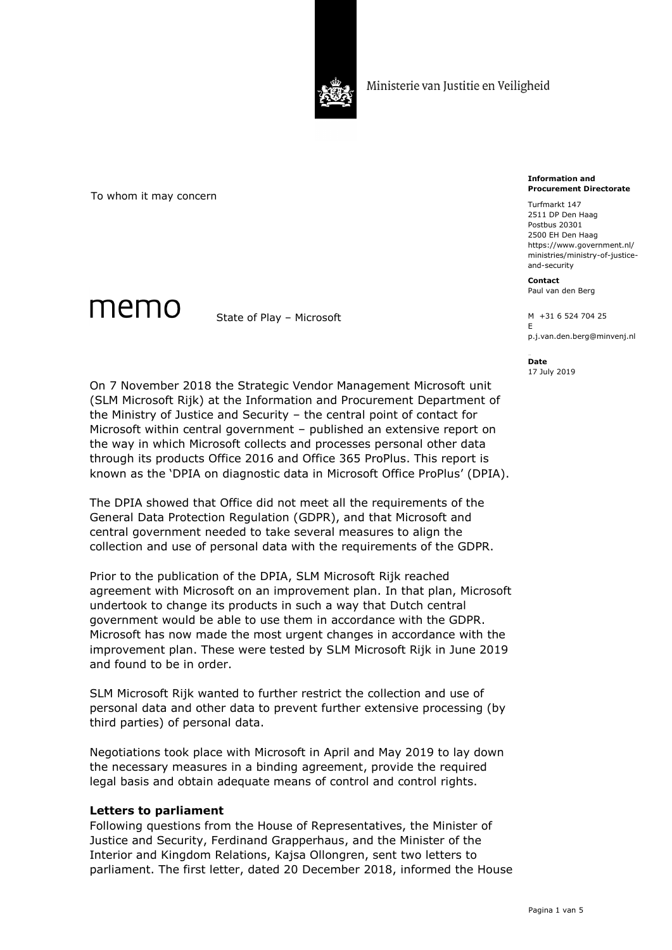

To whom it may concern

memo

State of Play – Microsoft

**Information and Procurement Directorate**

Turfmarkt 147 2511 DP Den Haag Postbus 20301 2500 EH Den Haag https://www.government.nl/ ministries/ministry-of-justiceand-security

**Contact** Paul van den Berg

M +31 6 524 704 25 E p.j.van.den.berg@minvenj.nl

**Date** 17 July 2019

On 7 November 2018 the Strategic Vendor Management Microsoft unit (SLM Microsoft Rijk) at the Information and Procurement Department of the Ministry of Justice and Security – the central point of contact for Microsoft within central government – published an extensive report on the way in which Microsoft collects and processes personal other data through its products Office 2016 and Office 365 ProPlus. This report is known as the 'DPIA on diagnostic data in Microsoft Office ProPlus' (DPIA).

The DPIA showed that Office did not meet all the requirements of the General Data Protection Regulation (GDPR), and that Microsoft and central government needed to take several measures to align the collection and use of personal data with the requirements of the GDPR.

Prior to the publication of the DPIA, SLM Microsoft Rijk reached agreement with Microsoft on an improvement plan. In that plan, Microsoft undertook to change its products in such a way that Dutch central government would be able to use them in accordance with the GDPR. Microsoft has now made the most urgent changes in accordance with the improvement plan. These were tested by SLM Microsoft Rijk in June 2019 and found to be in order.

SLM Microsoft Rijk wanted to further restrict the collection and use of personal data and other data to prevent further extensive processing (by third parties) of personal data.

Negotiations took place with Microsoft in April and May 2019 to lay down the necessary measures in a binding agreement, provide the required legal basis and obtain adequate means of control and control rights.

### **Letters to parliament**

Following questions from the House of Representatives, the Minister of Justice and Security, Ferdinand Grapperhaus, and the Minister of the Interior and Kingdom Relations, Kajsa Ollongren, sent two letters to parliament. The first letter, dated 20 December 2018, informed the House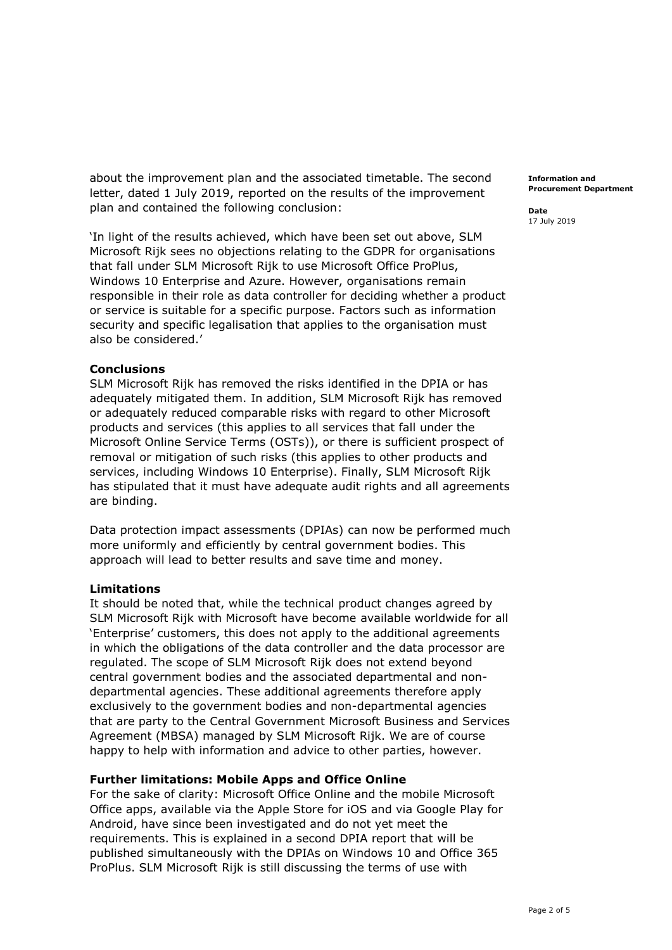about the improvement plan and the associated timetable. The second letter, dated 1 July 2019, reported on the results of the improvement plan and contained the following conclusion:

'In light of the results achieved, which have been set out above, SLM Microsoft Rijk sees no objections relating to the GDPR for organisations that fall under SLM Microsoft Rijk to use Microsoft Office ProPlus, Windows 10 Enterprise and Azure. However, organisations remain responsible in their role as data controller for deciding whether a product or service is suitable for a specific purpose. Factors such as information security and specific legalisation that applies to the organisation must also be considered.'

### **Conclusions**

SLM Microsoft Rijk has removed the risks identified in the DPIA or has adequately mitigated them. In addition, SLM Microsoft Rijk has removed or adequately reduced comparable risks with regard to other Microsoft products and services (this applies to all services that fall under the Microsoft Online Service Terms (OSTs)), or there is sufficient prospect of removal or mitigation of such risks (this applies to other products and services, including Windows 10 Enterprise). Finally, SLM Microsoft Rijk has stipulated that it must have adequate audit rights and all agreements are binding.

Data protection impact assessments (DPIAs) can now be performed much more uniformly and efficiently by central government bodies. This approach will lead to better results and save time and money.

# **Limitations**

It should be noted that, while the technical product changes agreed by SLM Microsoft Rijk with Microsoft have become available worldwide for all 'Enterprise' customers, this does not apply to the additional agreements in which the obligations of the data controller and the data processor are regulated. The scope of SLM Microsoft Rijk does not extend beyond central government bodies and the associated departmental and nondepartmental agencies. These additional agreements therefore apply exclusively to the government bodies and non-departmental agencies that are party to the Central Government Microsoft Business and Services Agreement (MBSA) managed by SLM Microsoft Rijk. We are of course happy to help with information and advice to other parties, however.

# **Further limitations: Mobile Apps and Office Online**

For the sake of clarity: Microsoft Office Online and the mobile Microsoft Office apps, available via the Apple Store for iOS and via Google Play for Android, have since been investigated and do not yet meet the requirements. This is explained in a second DPIA report that will be published simultaneously with the DPIAs on Windows 10 and Office 365 ProPlus. SLM Microsoft Rijk is still discussing the terms of use with

**Information and Procurement Department**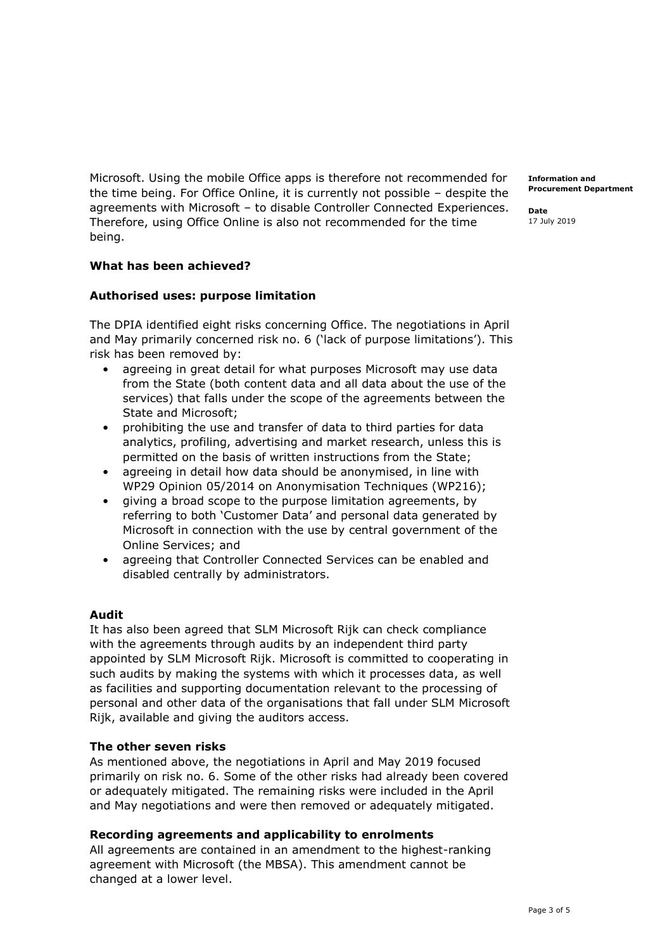Microsoft. Using the mobile Office apps is therefore not recommended for the time being. For Office Online, it is currently not possible – despite the agreements with Microsoft – to disable Controller Connected Experiences. Therefore, using Office Online is also not recommended for the time being.

### **What has been achieved?**

### **Authorised uses: purpose limitation**

The DPIA identified eight risks concerning Office. The negotiations in April and May primarily concerned risk no. 6 ('lack of purpose limitations'). This risk has been removed by:

- agreeing in great detail for what purposes Microsoft may use data from the State (both content data and all data about the use of the services) that falls under the scope of the agreements between the State and Microsoft;
- prohibiting the use and transfer of data to third parties for data analytics, profiling, advertising and market research, unless this is permitted on the basis of written instructions from the State;
- agreeing in detail how data should be anonymised, in line with WP29 Opinion 05/2014 on Anonymisation Techniques (WP216);
- giving a broad scope to the purpose limitation agreements, by referring to both 'Customer Data' and personal data generated by Microsoft in connection with the use by central government of the Online Services; and
- agreeing that Controller Connected Services can be enabled and disabled centrally by administrators.

### **Audit**

It has also been agreed that SLM Microsoft Rijk can check compliance with the agreements through audits by an independent third party appointed by SLM Microsoft Rijk. Microsoft is committed to cooperating in such audits by making the systems with which it processes data, as well as facilities and supporting documentation relevant to the processing of personal and other data of the organisations that fall under SLM Microsoft Rijk, available and giving the auditors access.

### **The other seven risks**

As mentioned above, the negotiations in April and May 2019 focused primarily on risk no. 6. Some of the other risks had already been covered or adequately mitigated. The remaining risks were included in the April and May negotiations and were then removed or adequately mitigated.

### **Recording agreements and applicability to enrolments**

All agreements are contained in an amendment to the highest-ranking agreement with Microsoft (the MBSA). This amendment cannot be changed at a lower level.

**Information and Procurement Department**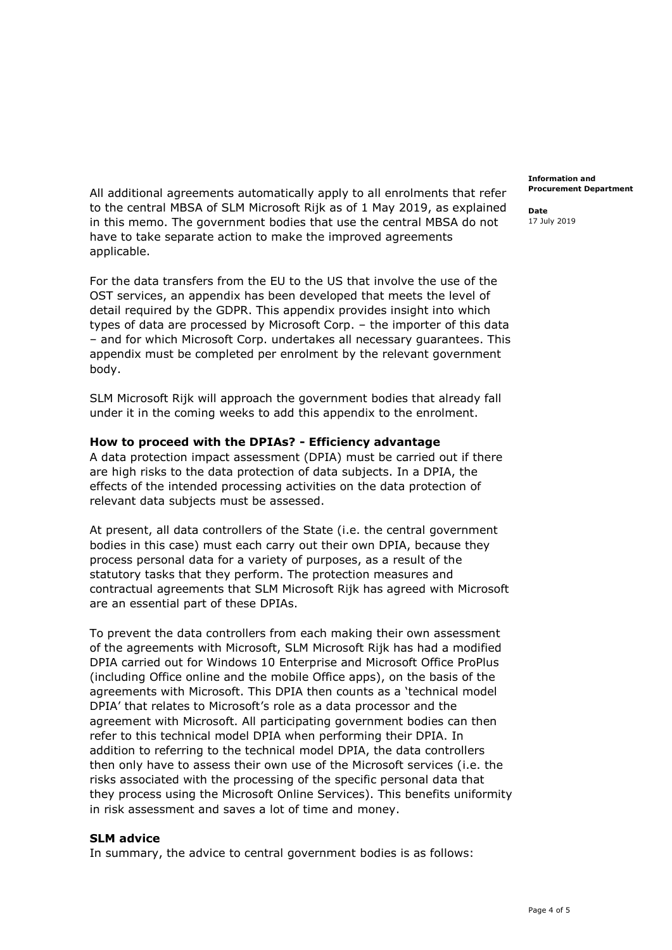All additional agreements automatically apply to all enrolments that refer to the central MBSA of SLM Microsoft Rijk as of 1 May 2019, as explained in this memo. The government bodies that use the central MBSA do not have to take separate action to make the improved agreements applicable.

For the data transfers from the EU to the US that involve the use of the OST services, an appendix has been developed that meets the level of detail required by the GDPR. This appendix provides insight into which types of data are processed by Microsoft Corp. – the importer of this data – and for which Microsoft Corp. undertakes all necessary guarantees. This appendix must be completed per enrolment by the relevant government body.

SLM Microsoft Rijk will approach the government bodies that already fall under it in the coming weeks to add this appendix to the enrolment.

### **How to proceed with the DPIAs? - Efficiency advantage**

A data protection impact assessment (DPIA) must be carried out if there are high risks to the data protection of data subjects. In a DPIA, the effects of the intended processing activities on the data protection of relevant data subjects must be assessed.

At present, all data controllers of the State (i.e. the central government bodies in this case) must each carry out their own DPIA, because they process personal data for a variety of purposes, as a result of the statutory tasks that they perform. The protection measures and contractual agreements that SLM Microsoft Rijk has agreed with Microsoft are an essential part of these DPIAs.

To prevent the data controllers from each making their own assessment of the agreements with Microsoft, SLM Microsoft Rijk has had a modified DPIA carried out for Windows 10 Enterprise and Microsoft Office ProPlus (including Office online and the mobile Office apps), on the basis of the agreements with Microsoft. This DPIA then counts as a 'technical model DPIA' that relates to Microsoft's role as a data processor and the agreement with Microsoft. All participating government bodies can then refer to this technical model DPIA when performing their DPIA. In addition to referring to the technical model DPIA, the data controllers then only have to assess their own use of the Microsoft services (i.e. the risks associated with the processing of the specific personal data that they process using the Microsoft Online Services). This benefits uniformity in risk assessment and saves a lot of time and money.

### **SLM advice**

In summary, the advice to central government bodies is as follows:

**Information and Procurement Department**